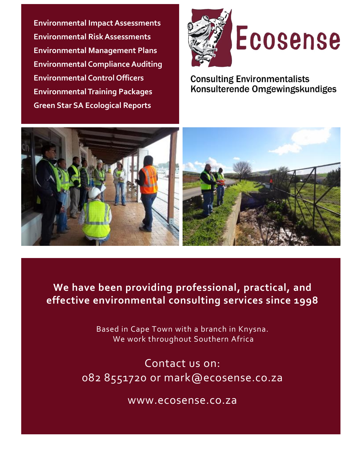**Environmental Impact Assessments Environmental Risk Assessments Environmental Management Plans Environmental Compliance Auditing Environmental Control Officers Environmental Training Packages Green Star SA Ecological Reports**





**Consulting Environmentalists** Konsulterende Omgewingskundiges





### **We have been providing professional, practical, and effective environmental consulting services since 1998**

Based in Cape Town with a branch in Knysna. We work throughout Southern Africa

Contact us on: 082 8551720 or mark@ecosense.co.za

www.ecosense.co.za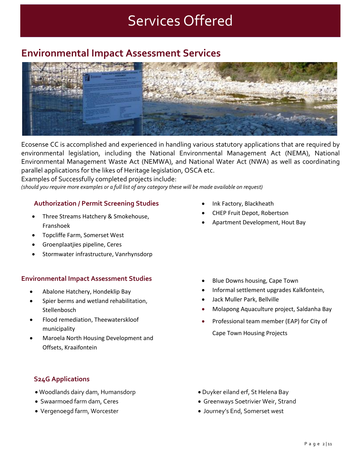## Services Offered

### **Environmental Impact Assessment Services**



Ecosense CC is accomplished and experienced in handling various statutory applications that are required by environmental legislation, including the National Environmental Management Act (NEMA), National Environmental Management Waste Act (NEMWA), and National Water Act (NWA) as well as coordinating parallel applications for the likes of Heritage legislation, OSCA etc.

Examples of Successfully completed projects include:

(should you require more examples or a full list of any category these will be made available on request)

#### **Authorization / Permit Screening Studies**

- Three Streams Hatchery & Smokehouse, Franshoek
- Topcliffe Farm, Somerset West
- Groenplaatjies pipeline, Ceres
- Stormwater infrastructure, Vanrhynsdorp

#### **Environmental Impact Assessment Studies**

- Abalone Hatchery, Hondeklip Bay
- Spier berms and wetland rehabilitation, **Stellenbosch**
- Flood remediation, Theewaterskloof municipality
- Maroela North Housing Development and Offsets, Kraaifontein
- Ink Factory, Blackheath
- CHEP Fruit Depot, Robertson
- Apartment Development, Hout Bay

- Blue Downs housing, Cape Town
- Informal settlement upgrades Kalkfontein,
- Jack Muller Park, Bellville
- Molapong Aquaculture project, Saldanha Bay
- Professional team member (EAP) for City of Cape Town Housing Projects

#### **S24G Applications**

- Woodlands dairy dam, Humansdorp
- Swaarmoed farm dam, Ceres
- Vergenoegd farm, Worcester
- Duyker eiland erf, St Helena Bay
- Greenways Soetrivier Weir, Strand
- Journey's End, Somerset west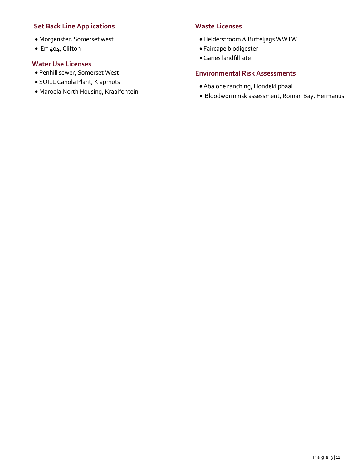#### **Set Back Line Applications**

- Morgenster, Somerset west
- Erf 404, Clifton

#### **Water Use Licenses**

- Penhill sewer, Somerset West
- SOILL Canola Plant, Klapmuts
- Maroela North Housing, Kraaifontein

#### **Waste Licenses**

- Helderstroom & Buffeljags WWTW
- Faircape biodigester
- Garies landfill site

#### **Environmental Risk Assessments**

- Abalone ranching, Hondeklipbaai
- Bloodworm risk assessment, Roman Bay, Hermanus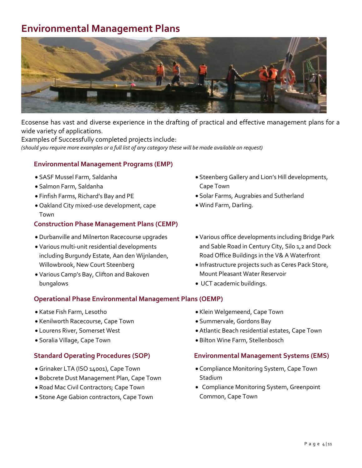### **Environmental Management Plans**



Ecosense has vast and diverse experience in the drafting of practical and effective management plans for a wide variety of applications.

Examples of Successfully completed projects include: (should you require more examples or a full list of any category these will be made available on request)

#### **Environmental Management Programs (EMP)**

- SASF Mussel Farm, Saldanha
- Salmon Farm, Saldanha
- Finfish Farms, Richard's Bay and PE
- Oakland City mixed-use development, cape Town

#### **Construction Phase Management Plans (CEMP)**

- Durbanville and Milnerton Racecourse upgrades
- Various multi-unit residential developments including Burgundy Estate, Aan den Wijnlanden, Willowbrook, New Court Steenberg
- Various Camp's Bay, Clifton and Bakoven bungalows

#### **Operational Phase Environmental Management Plans (OEMP)**

- Katse Fish Farm, Lesotho
- Kenilworth Racecourse, Cape Town
- Lourens River, Somerset West
- Soralia Village, Cape Town

#### **Standard Operating Procedures (SOP)**

- Grinaker LTA (ISO 14001), Cape Town
- Bobcrete Dust Management Plan, Cape Town
- Road Mac Civil Contractors; Cape Town
- Stone Age Gabion contractors, Cape Town
- Steenberg Gallery and Lion's Hill developments, Cape Town
- Solar Farms, Augrabies and Sutherland
- Wind Farm, Darling.
- Various office developments including Bridge Park and Sable Road in Century City, Silo 1,2 and Dock Road Office Buildings in the V& A Waterfront
- Infrastructure projects such as Ceres Pack Store, Mount Pleasant Water Reservoir
- UCT academic buildings.
- Klein Welgemeend, Cape Town
- Summervale, Gordons Bay
- Atlantic Beach residential estates, Cape Town
- Bilton Wine Farm, Stellenbosch

#### **Environmental Management Systems (EMS)**

- Compliance Monitoring System, Cape Town Stadium
- Compliance Monitoring System, Greenpoint Common, Cape Town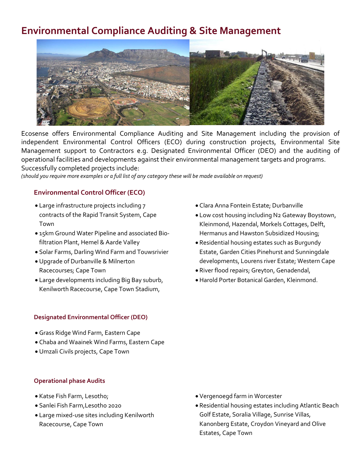### **Environmental Compliance Auditing & Site Management**



Ecosense offers Environmental Compliance Auditing and Site Management including the provision of independent Environmental Control Officers (ECO) during construction projects, Environmental Site Management support to Contractors e.g. Designated Environmental Officer (DEO) and the auditing of operational facilities and developments against their environmental management targets and programs. Successfully completed projects include:

(should you require more examples or a full list of any category these will be made available on request)

#### **Environmental Control Officer (ECO)**

- Large infrastructure projects including 7 contracts of the Rapid Transit System, Cape Town
- 15km Ground Water Pipeline and associated Biofiltration Plant, Hemel & Aarde Valley
- Solar Farms, Darling Wind Farm and Touwsrivier
- Upgrade of Durbanville & Milnerton Racecourses; Cape Town
- Large developments including Big Bay suburb, Kenilworth Racecourse, Cape Town Stadium,

#### **Designated Environmental Officer (DEO)**

- Grass Ridge Wind Farm, Eastern Cape
- Chaba and Waainek Wind Farms, Eastern Cape
- Umzali Civils projects, Cape Town

#### **Operational phase Audits**

- Katse Fish Farm, Lesotho;
- Sanlei Fish Farm,Lesotho 2020
- Large mixed-use sites including Kenilworth Racecourse, Cape Town
- Clara Anna Fontein Estate; Durbanville
- Low cost housing including N2 Gateway Boystown, Kleinmond, Hazendal, Morkels Cottages, Delft, Hermanus and Hawston Subsidized Housing;
- Residential housing estates such as Burgundy Estate, Garden Cities Pinehurst and Sunningdale developments, Lourens river Estate; Western Cape
- River flood repairs; Greyton, Genadendal,
- Harold Porter Botanical Garden, Kleinmond.

- Vergenoegd farm in Worcester
- Residential housing estates including Atlantic Beach Golf Estate, Soralia Village, Sunrise Villas, Kanonberg Estate, Croydon Vineyard and Olive Estates, Cape Town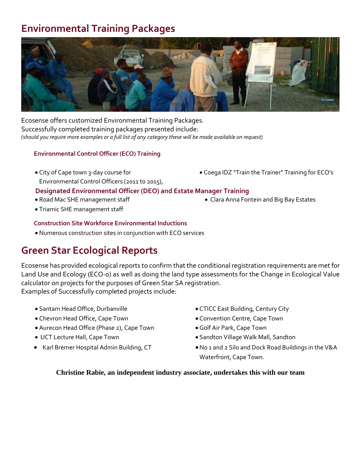### **Environmental Training Packages**



Ecosense offers customized Environmental Training Packages. Successfully completed training packages presented include: (should you require more examples or a full list of any category these will be made available on request)

#### **Environmental Control Officer (ECO) Training**

- City of Cape town 3-day course for Environmental Control Officers (2011 to 2015),
- Coega IDZ "Train the Trainer" Training for ECO's
- **Designated Environmental Officer (DEO) and Estate Manager Training**
- Road Mac SHE management staff
- Triamic SHE management staff

#### **Construction Site Workforce Environmental Inductions**

• Numerous construction sites in conjunction with ECO services

### **Green Star Ecological Reports**

Ecosense has provided ecological reports to confirm that the conditional registration requirements are met for Land Use and Ecology (ECO-0) as well as doing the land type assessments for the Change in Ecological Value calculator on projects for the purposes of Green Star SA registration. Examples of Successfully completed projects include:

- Santam Head Office, Durbanville
- Chevron Head Office, Cape Town
- Aurecon Head Office (Phase 2), Cape Town
- UCT Lecture Hall, Cape Town
- Karl Bremer Hospital Admin Building, CT
- CTICC East Building, Century City
- Convention Centre, Cape Town
- Golf Air Park, Cape Town
- Sandton Village Walk Mall, Sandton
- •No 1 and 2 Silo and Dock Road Buildings in the V&A Waterfront, Cape Town.

#### **Christine Rabie, an independent industry associate, undertakes this with our team**

- - Clara Anna Fontein and Big Bay Estates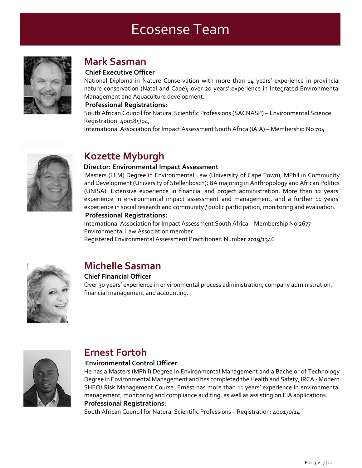## Ecosense Team



### **Mark Sasman**

#### **Chief Executive Officer**

National Diploma in Nature Conservation with more than 14 years' experience in provincial nature conservation (Natal and Cape); over 20 years' experience in Integrated Environmental Management and Aquaculture development.

#### **Professional Registrations:**

South African Council for Natural Scientific Professions (SACNASP) – Environmental Science: Registration: 400185/04,

International Association for Impact Assessment South Africa (IAIA) – Membership No 704



### **Kozette Myburgh**

#### **Director: Environmental Impact Assessment**

Masters (LLM) Degree in Environmental Law (University of Cape Town); MPhil in Community and Development(University of Stellenbosch); BA majoring in Anthropology and African Politics (UNISA). Extensive experience in financial and project administration. More than 12 years' experience in environmental impact assessment and management, and a further 11 years' experience in social research and community / public participation, monitoring and evaluation.

#### **Professional Registrations:**

International Association for Impact Assessment South Africa – Membership No 2677 Environmental Law Association member

Registered Environmental Assessment Practitioner: Number 2019/1346



### **Michelle Sasman**

#### **Chief Financial Officer**

Over 30 years' experience in environmental process administration, company administration, financial management and accounting.



### **Ernest Fortoh**

#### **Environmental Control Officer**

He has a Masters (MPhil) Degree in Environmental Management and a Bachelor of Technology Degree in Environmental Management and has completed the Health and Safety, IRCA - Modern SHEQ/ Risk Management Course. Ernest has more than 11 years' experience in environmental management, monitoring and compliance auditing, as well as assisting on EIA applications. **Professional Registrations:**

South African Council for Natural Scientific Professions – Registration: 400170/14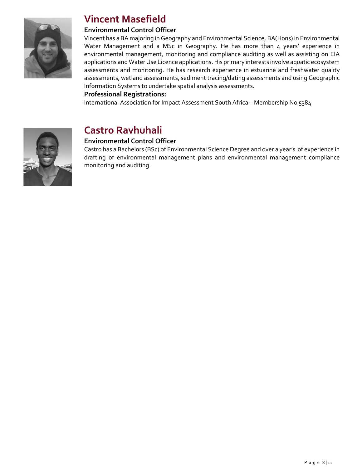

### **Vincent Masefield**

#### **Environmental Control Officer**

Vincent has a BA majoring in Geography and Environmental Science, BA(Hons) in Environmental Water Management and a MSc in Geography. He has more than 4 years' experience in environmental management, monitoring and compliance auditing as well as assisting on EIA applications and Water Use Licence applications. His primary interests involve aquatic ecosystem assessments and monitoring. He has research experience in estuarine and freshwater quality assessments, wetland assessments, sediment tracing/dating assessments and using Geographic Information Systems to undertake spatial analysis assessments.

#### **Professional Registrations:**

International Association for Impact Assessment South Africa – Membership No 5384



### **Castro Ravhuhali**

#### **Environmental Control Officer**

Castro has a Bachelors (BSc) of Environmental Science Degree and over a year's of experience in drafting of environmental management plans and environmental management compliance monitoring and auditing.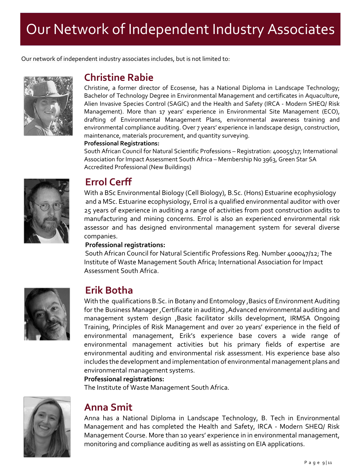# Our Network of Independent Industry Associates

Our network of independent industry associates includes, but is not limited to:



### **Christine Rabie**

Christine, a former director of Ecosense, has a National Diploma in Landscape Technology; Bachelor of Technology Degree in Environmental Management and certificates in Aquaculture, Alien Invasive Species Control (SAGIC) and the Health and Safety (IRCA - Modern SHEQ/ Risk Management). More than 17 years' experience in Environmental Site Management (ECO), drafting of Environmental Management Plans, environmental awareness training and environmental compliance auditing. Over 7 years' experience in landscape design, construction, maintenance, materials procurement, and quantity surveying.

#### **Professional Registrations:**

South African Council for Natural Scientific Professions – Registration: 400055/17; International Association for Impact Assessment South Africa – Membership No 3963, Green Star SA Accredited Professional (New Buildings)



### **Errol Cerff**

With a BSc Environmental Biology (Cell Biology), B.Sc. (Hons) Estuarine ecophysiology and a MSc. Estuarine ecophysiology, Errol is a qualified environmental auditor with over 25 years of experience in auditing a range of activities from post construction audits to manufacturing and mining concerns. Errol is also an experienced environmental risk assessor and has designed environmental management system for several diverse companies.

#### **Professional registrations:**

South African Council for Natural Scientific Professions Reg. Number 400047/12; The Institute of Waste Management South Africa; International Association for Impact Assessment South Africa.



### **Erik Botha**

With the qualifications B.Sc. in Botany and Entomology ,Basics of Environment Auditing for the Business Manager ,Certificate in auditing ,Advanced environmental auditing and management system design ,Basic facilitator skills development, IRMSA Ongoing Training, Principles of Risk Management and over 20 years' experience in the field of environmental management, Erik's experience base covers a wide range of environmental management activities but his primary fields of expertise are environmental auditing and environmental risk assessment. His experience base also includes the development and implementation of environmental management plans and environmental management systems.

#### **Professional registrations:**

The Institute of Waste Management South Africa.



### **Anna Smit**

Anna has a National Diploma in Landscape Technology, B. Tech in Environmental Management and has completed the Health and Safety, IRCA - Modern SHEQ/ Risk Management Course. More than 10 years' experience in in environmental management, monitoring and compliance auditing as well as assisting on EIA applications.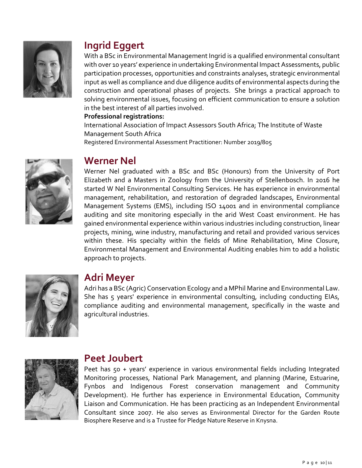

### **Ingrid Eggert**

With a BSc in Environmental Management Ingrid is a qualified environmental consultant with over 10 years' experience in undertaking Environmental Impact Assessments, public participation processes, opportunities and constraints analyses, strategic environmental input as well as compliance and due diligence audits of environmental aspects during the construction and operational phases of projects. She brings a practical approach to solving environmental issues, focusing on efficient communication to ensure a solution in the best interest of all parties involved.

#### **Professional registrations:**

International Association of Impact Assessors South Africa; The Institute of Waste Management South Africa

Registered Environmental Assessment Practitioner: Number 2019/805



### **Werner Nel**

Werner Nel graduated with a BSc and BSc (Honours) from the University of Port Elizabeth and a Masters in Zoology from the University of Stellenbosch. In 2016 he started W Nel Environmental Consulting Services. He has experience in environmental management, rehabilitation, and restoration of degraded landscapes, Environmental Management Systems (EMS), including ISO 14001 and in environmental compliance auditing and site monitoring especially in the arid West Coast environment. He has gained environmental experience within various industries including construction, linear projects, mining, wine industry, manufacturing and retail and provided various services within these. His specialty within the fields of Mine Rehabilitation, Mine Closure, Environmental Management and Environmental Auditing enables him to add a holistic approach to projects.



### **Adri Meyer**

Adri has a BSc (Agric) Conservation Ecology and a MPhil Marine and Environmental Law. She has 5 years' experience in environmental consulting, including conducting EIAs, compliance auditing and environmental management, specifically in the waste and agricultural industries.



### **Peet Joubert**

Peet has 50 + years' experience in various environmental fields including Integrated Monitoring processes, National Park Management, and planning (Marine, Estuarine, Fynbos and Indigenous Forest conservation management and Community Development). He further has experience in Environmental Education, Community Liaison and Communication. He has been practicing as an Independent Environmental Consultant since 2007. He also serves as Environmental Director for the Garden Route Biosphere Reserve and is a Trustee for Pledge Nature Reserve in Knysna.